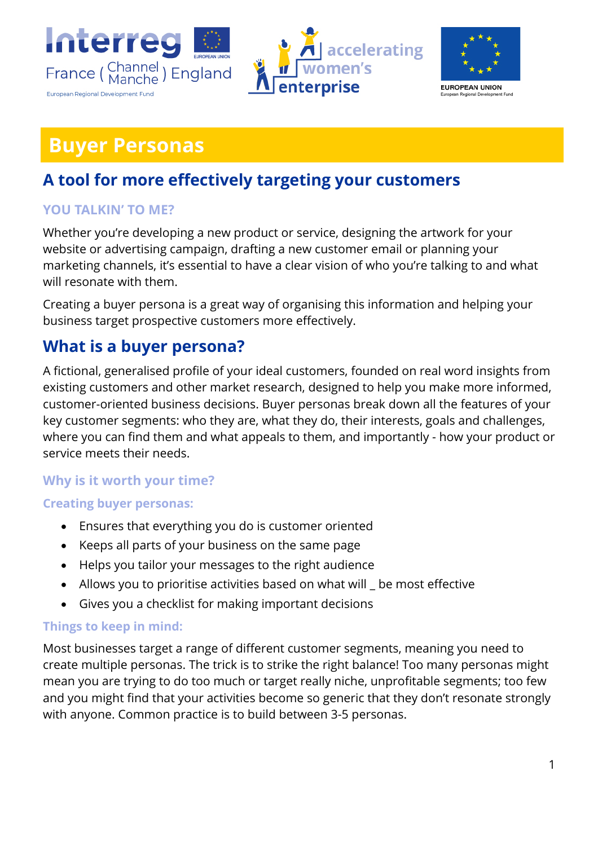





# **Buyer Personas**

## **A tool for more effectively targeting your customers**

## **YOU TALKIN' TO ME?**

Whether you're developing a new product or service, designing the artwork for your website or advertising campaign, drafting a new customer email or planning your marketing channels, it's essential to have a clear vision of who you're talking to and what will resonate with them.

Creating a buyer persona is a great way of organising this information and helping your business target prospective customers more effectively.

## **What is a buyer persona?**

A fictional, generalised profile of your ideal customers, founded on real word insights from existing customers and other market research, designed to help you make more informed, customer-oriented business decisions. Buyer personas break down all the features of your key customer segments: who they are, what they do, their interests, goals and challenges, where you can find them and what appeals to them, and importantly - how your product or service meets their needs.

## **Why is it worth your time?**

## **Creating buyer personas:**

- Ensures that everything you do is customer oriented
- Keeps all parts of your business on the same page
- Helps you tailor your messages to the right audience
- Allows you to prioritise activities based on what will \_ be most effective
- Gives you a checklist for making important decisions

## **Things to keep in mind:**

Most businesses target a range of different customer segments, meaning you need to create multiple personas. The trick is to strike the right balance! Too many personas might mean you are trying to do too much or target really niche, unprofitable segments; too few and you might find that your activities become so generic that they don't resonate strongly with anyone. Common practice is to build between 3-5 personas.